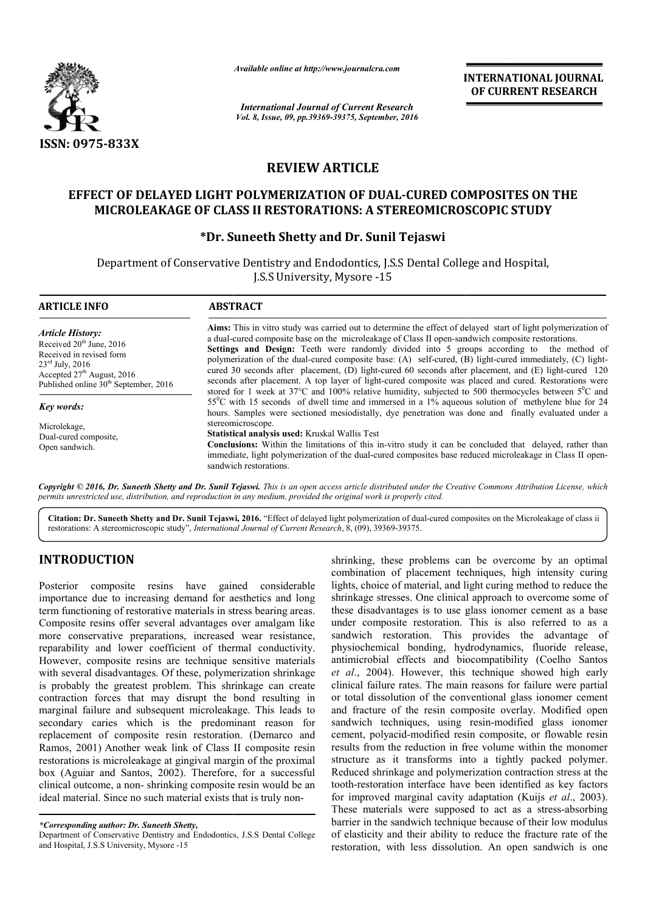

*Available online at http://www.journalcra.com*

*International Journal of Current Research Vol. 8, Issue, 09, pp.39369-39375, September, 2016* INTERNATIONAL JOURNAL OF CURRENT RESEARCH

# REVIEW ARTICLE

# EFFECT OF DELAYED LIGHT POLYMERIZATION OF DUAL-CURED COMPOSITES ON THE MICROLEAKAGE OF CLASS II RESTORATIONS RESTORATIONS: A STEREOMICROSCOPIC STUDY

## \*Dr. Suneeth Shetty and Dr Dr. Sunil Tejaswi

Department of Conservative Dentistry and Endodontics, J.S.S Dental College and Hospital, J.S.S University, Mysore -15

| <b>ARTICLE INFO</b>                                                                                                                                                                            | <b>ABSTRACT</b>                                                                                                                                                                                                                                                                                                                                                                                                                                                                                                                                                                                                                                                                                                                                                |  |  |  |
|------------------------------------------------------------------------------------------------------------------------------------------------------------------------------------------------|----------------------------------------------------------------------------------------------------------------------------------------------------------------------------------------------------------------------------------------------------------------------------------------------------------------------------------------------------------------------------------------------------------------------------------------------------------------------------------------------------------------------------------------------------------------------------------------------------------------------------------------------------------------------------------------------------------------------------------------------------------------|--|--|--|
| Article History:<br>Received $20th$ June, 2016<br>Received in revised form<br>$23^{\text{rd}}$ July, 2016<br>Accepted $27th$ August, 2016<br>Published online 30 <sup>th</sup> September, 2016 | Aims: This in vitro study was carried out to determine the effect of delayed start of light polymerization of<br>a dual-cured composite base on the microleakage of Class II open-sandwich composite restorations.<br><b>Settings and Design:</b> Teeth were randomly divided into 5 groups according to the method of<br>polymerization of the dual-cured composite base: (A) self-cured, (B) light-cured immediately, (C) light-<br>cured 30 seconds after placement, (D) light-cured 60 seconds after placement, and (E) light-cured 120<br>seconds after placement. A top layer of light-cured composite was placed and cured. Restorations were<br>stored for 1 week at 37°C and 100% relative humidity, subjected to 500 thermocycles between $5^0C$ and |  |  |  |
| Key words:                                                                                                                                                                                     | 55 <sup>o</sup> C with 15 seconds of dwell time and immersed in a 1% aqueous solution of methylene blue for 24<br>hours. Samples were sectioned mesiodistally, dye penetration was done and finally evaluated under a                                                                                                                                                                                                                                                                                                                                                                                                                                                                                                                                          |  |  |  |
| Microlekage,<br>Dual-cured composite,<br>Open sandwich.                                                                                                                                        | stereomicroscope.<br>Statistical analysis used: Kruskal Wallis Test<br><b>Conclusions:</b> Within the limitations of this in-vitro study it can be concluded that delayed, rather than<br>immediate, light polymerization of the dual-cured composites base reduced microleakage in Class II open-<br>sandwich restorations.                                                                                                                                                                                                                                                                                                                                                                                                                                   |  |  |  |

Copyright © 2016, Dr. Suneeth Shetty and Dr. Sunil Tejaswi. This is an open access article distributed under the Creative Commons Attribution License, which *permits unrestricted use, distribution, and reproduction in any medium, provided the original work is properly cited.*

Citation: Dr. Suneeth Shetty and Dr. Sunil Tejaswi, 2016. "Effect of delayed light polymerization of dual-cured composites on the Microleakage of class ii restorations: A stereomicroscopic study", *International Journal of Current Research* , 8, (09), 39369-39375.

# INTRODUCTION

Posterior composite resins have gained considerable importance due to increasing demand for aesthetics and long term functioning of restorative materials in stress bearing areas. Composite resins offer several advantages over amalgam like more conservative preparations, increased wear resistance, reparability and lower coefficient of thermal conductivity. However, composite resins are technique sensitive materials with several disadvantages. Of these, polymerization shrinkage is probably the greatest problem. This shrinkage can create contraction forces that may disrupt the bond resulting in marginal failure and subsequent microleakage. This leads to secondary caries which is the predominant reason for replacement of composite resin restoration. (Demarco and Ramos, 2001) Another weak link of Class II composite resin restorations is microleakage at gingival margin of the proximal box (Aguiar and Santos, 2002). Therefore, for a successful clinical outcome, a non- shrinking composite resin would be an ideal material. Since no such material exists that is truly nonse, polymerization shrinkage<br>This shrinkage can create<br>rupt the bond resulting in<br>microleakage. This leads to<br>predominant reason for shrinking, these problems can be overcome by an optimal combination of placement techniques, high intensity curing lights, choice of material, and light curing method to reduce the shrinking, these problems can be overcome by an optimal combination of placement techniques, high intensity curing lights, choice of material, and light curing method to reduce the shrinkage stresses. One clinical approach these disadvantages is to use glass ionomer cement as a base under composite restoration. This is also referred to as a sandwich restoration. This provides the advantage of physiochemical bonding, hydrodynamics, fluoride release, antimicrobial effects and biocompatibility (Coelho Santos *et al*., 2004). However, this technique showed high early clinical failure rates. The main reasons for failure were partial *et al.*, 2004). However, this technique showed high early clinical failure rates. The main reasons for failure were partial or total dissolution of the conventional glass ionomer cement and fracture of the resin composite overlay. Modified open sandwich techniques, using resin-modified glass ionomer cement, polyacid-modified resin composite, or flowable resin results from the reduction in free volume within the monomer structure as it transforms into a tightly packed polymer. Reduced shrinkage and polymerization contraction stress at the tooth-restoration interface have been identified as key factors for improved marginal cavity adaptation (Kuijs *et al.*, 2003). These materials were supposed to act as a stress-absorbing barrier in the sandwich technique because of their low modulus of elasticity and their ability to reduce the fracture rate of the restoration, with less dissolution. An open sandwich is one posite restoration. This is also referred to as a restoration. This provides the advantage of hical bonding, hydrodynamics, fluoride release, cement, polyacid-modified resin composite, or flowable resin results from the reduction in free volume within the monomer structure as it transforms into a tightly packed polymer. Reduced shrinkage and polymerization contraction stress at the tooth-restoration interface have been identified as key factors for improved marginal cavity adaptation (Kuijs *et al.*, 2003). **INTERNATIONAL JOURNAL**<br> **IDENTIFIENT (OF CURRENT RESEARCH**<br> **IDENTIFIENT (OF CURRENT RESEARCH**<br> **IDENTIFIENT ASSEEM COMPOSITES ON THE**<br> **ILE DUAL-CURED COMPOSITES ON THE**<br> **ILE DUAL-CURED COMPOSITES ON THE**<br> **ICE ASTEREO** 

*<sup>\*</sup>Corresponding author: Dr. Suneeth Shetty,*

Department of Conservative Dentistry and Endodontics, J.S.S Dental College and Hospital, J.S.S University, Mysore -15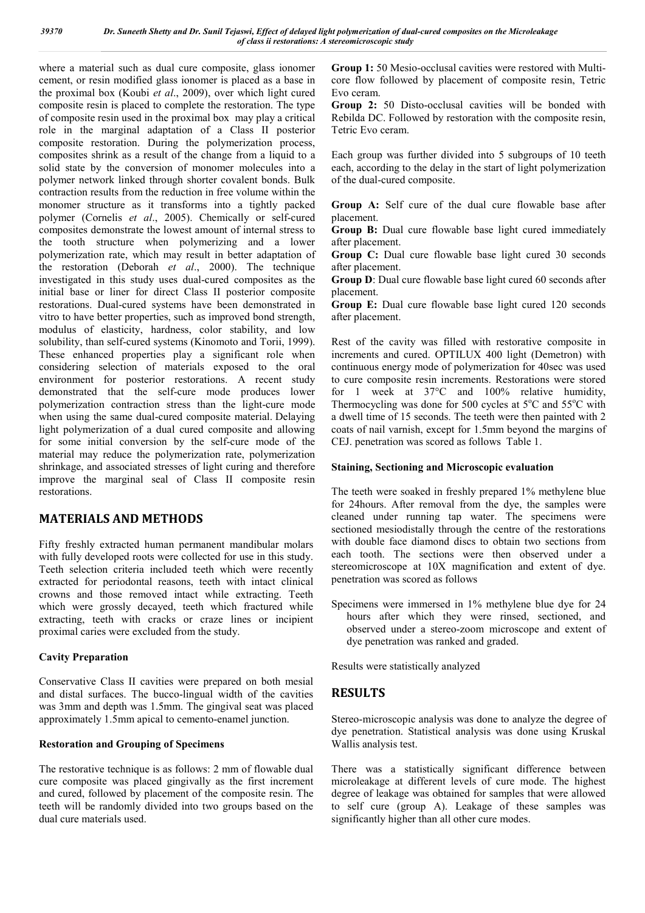where a material such as dual cure composite, glass ionomer cement, or resin modified glass ionomer is placed as a base in the proximal box (Koubi *et al*., 2009), over which light cured composite resin is placed to complete the restoration. The type of composite resin used in the proximal box may play a critical role in the marginal adaptation of a Class II posterior composite restoration. During the polymerization process, composites shrink as a result of the change from a liquid to a solid state by the conversion of monomer molecules into a polymer network linked through shorter covalent bonds. Bulk contraction results from the reduction in free volume within the monomer structure as it transforms into a tightly packed polymer (Cornelis *et al*., 2005). Chemically or self-cured composites demonstrate the lowest amount of internal stress to the tooth structure when polymerizing and a lower polymerization rate, which may result in better adaptation of the restoration (Deborah *et al*., 2000). The technique investigated in this study uses dual-cured composites as the initial base or liner for direct Class II posterior composite restorations. Dual-cured systems have been demonstrated in vitro to have better properties, such as improved bond strength, modulus of elasticity, hardness, color stability, and low solubility, than self-cured systems (Kinomoto and Torii, 1999). These enhanced properties play a significant role when considering selection of materials exposed to the oral environment for posterior restorations. A recent study demonstrated that the self-cure mode produces lower polymerization contraction stress than the light-cure mode when using the same dual-cured composite material. Delaying light polymerization of a dual cured composite and allowing for some initial conversion by the self-cure mode of the material may reduce the polymerization rate, polymerization shrinkage, and associated stresses of light curing and therefore improve the marginal seal of Class II composite resin restorations.

## MATERIALS AND METHODS

Fifty freshly extracted human permanent mandibular molars with fully developed roots were collected for use in this study. Teeth selection criteria included teeth which were recently extracted for periodontal reasons, teeth with intact clinical crowns and those removed intact while extracting. Teeth which were grossly decayed, teeth which fractured while extracting, teeth with cracks or craze lines or incipient proximal caries were excluded from the study.

### Cavity Preparation

Conservative Class II cavities were prepared on both mesial and distal surfaces. The bucco-lingual width of the cavities was 3mm and depth was 1.5mm. The gingival seat was placed approximately 1.5mm apical to cemento-enamel junction.

### Restoration and Grouping of Specimens

The restorative technique is as follows: 2 mm of flowable dual cure composite was placed gingivally as the first increment and cured, followed by placement of the composite resin. The teeth will be randomly divided into two groups based on the dual cure materials used.

Group 1: 50 Mesio-occlusal cavities were restored with Multicore flow followed by placement of composite resin, Tetric Evo ceram.

Group 2: 50 Disto-occlusal cavities will be bonded with Rebilda DC. Followed by restoration with the composite resin, Tetric Evo ceram.

Each group was further divided into 5 subgroups of 10 teeth each, according to the delay in the start of light polymerization of the dual-cured composite.

Group A: Self cure of the dual cure flowable base after placement.

Group B: Dual cure flowable base light cured immediately after placement.

Group C: Dual cure flowable base light cured 30 seconds after placement.

Group D: Dual cure flowable base light cured 60 seconds after placement.

Group E: Dual cure flowable base light cured 120 seconds after placement.

Rest of the cavity was filled with restorative composite in increments and cured. OPTILUX 400 light (Demetron) with continuous energy mode of polymerization for 40sec was used to cure composite resin increments. Restorations were stored for 1 week at 37°C and 100% relative humidity, Thermocycling was done for 500 cycles at 5°C and 55°C with a dwell time of 15 seconds. The teeth were then painted with 2 coats of nail varnish, except for 1.5mm beyond the margins of CEJ. penetration was scored as follows Table 1.

#### Staining, Sectioning and Microscopic evaluation

The teeth were soaked in freshly prepared 1% methylene blue for 24hours. After removal from the dye, the samples were cleaned under running tap water. The specimens were sectioned mesiodistally through the centre of the restorations with double face diamond discs to obtain two sections from each tooth. The sections were then observed under a stereomicroscope at 10X magnification and extent of dye. penetration was scored as follows

Specimens were immersed in 1% methylene blue dye for 24 hours after which they were rinsed, sectioned, and observed under a stereo-zoom microscope and extent of dye penetration was ranked and graded.

Results were statistically analyzed

## RESULTS

Stereo-microscopic analysis was done to analyze the degree of dye penetration. Statistical analysis was done using Kruskal Wallis analysis test.

There was a statistically significant difference between microleakage at different levels of cure mode. The highest degree of leakage was obtained for samples that were allowed to self cure (group A). Leakage of these samples was significantly higher than all other cure modes.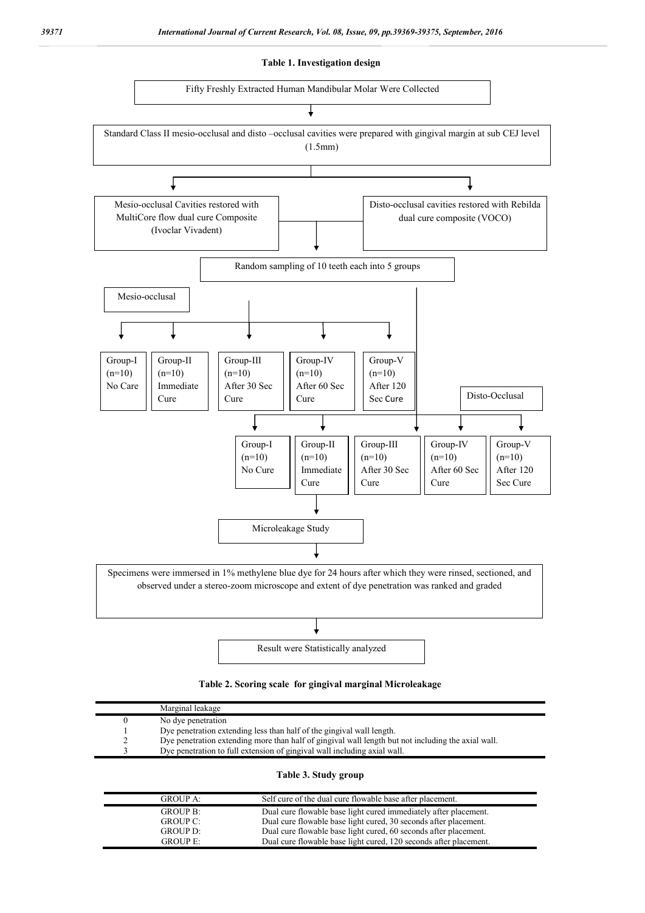

|  |  |  |  | Table 2. Scoring scale for gingival marginal Microleakage |
|--|--|--|--|-----------------------------------------------------------|
|  |  |  |  |                                                           |

| Marginal leakage                                                                                   |
|----------------------------------------------------------------------------------------------------|
| No dye penetration                                                                                 |
| Dye penetration extending less than half of the gingival wall length.                              |
| Dye penetration extending more than half of gingival wall length but not including the axial wall. |
| Dye penetration to full extension of gingival wall including axial wall.                           |
|                                                                                                    |

Table 3. Study group

| <b>GROUP A:</b> | Self cure of the dual cure flowable base after placement.         |
|-----------------|-------------------------------------------------------------------|
| <b>GROUP B:</b> | Dual cure flowable base light cured immediately after placement.  |
| GROUP C:        | Dual cure flowable base light cured, 30 seconds after placement.  |
| GROUP D:        | Dual cure flowable base light cured, 60 seconds after placement.  |
| GROUPE          | Dual cure flowable base light cured, 120 seconds after placement. |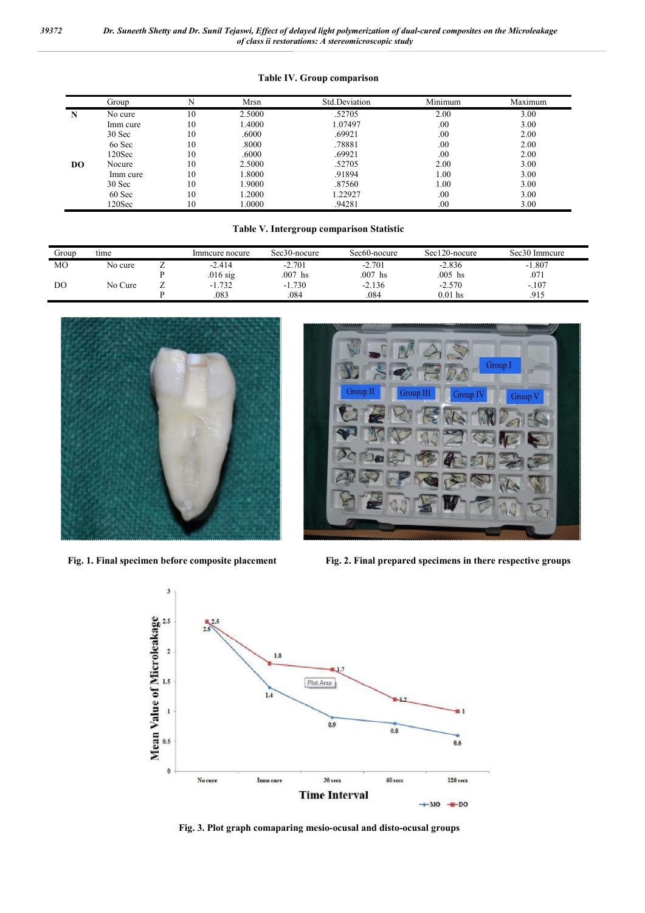|     | Group     | N  | <b>Mrsn</b> | Std.Deviation | Minimum | Maximum |
|-----|-----------|----|-------------|---------------|---------|---------|
| N   | No cure   | 10 | 2.5000      | .52705        | 2.00    | 3.00    |
|     | Imm cure  | 10 | 1.4000      | 1.07497       | .00.    | 3.00    |
|     | 30 Sec    | 10 | .6000       | .69921        | .00.    | 2.00    |
|     | 60 Sec    | 10 | .8000       | .78881        | .00     | 2.00    |
|     | $120$ Sec | 10 | .6000       | .69921        | .00     | 2.00    |
| DO. | Nocure    | 10 | 2.5000      | .52705        | 2.00    | 3.00    |
|     | Imm cure  | 10 | 1.8000      | .91894        | 1.00    | 3.00    |
|     | 30 Sec    | 10 | 1.9000      | .87560        | 1.00    | 3.00    |
|     | 60 Sec    | 10 | 1.2000      | 1.22927       | .00.    | 3.00    |
|     | $120$ Sec | 10 | 1.0000      | .94281        | $.00\,$ | 3.00    |

#### Table IV. Group comparison

### Table V. Intergroup comparison Statistic

| Group          | tıme    |   | Immeure nocure | Sec <sub>30</sub> -nocure | Sec60-nocure | Sec120-nocure | Sec30 Immoure |
|----------------|---------|---|----------------|---------------------------|--------------|---------------|---------------|
| M <sub>O</sub> | No cure | - | $-2.414$       | $-2.701$                  | $-2.701$     | $-2.836$      | $-1.807$      |
|                |         |   | $.016$ sig     | $.007$ hs                 | $.007$ hs    | $.005$ hs     | .071          |
| DO             | No Cure | ∸ | .732<br>- 1    | $-1.730$                  | $-2.136$     | $-2.570$      | $-.107$       |
|                |         |   | .083           | .084                      | .084         | $0.01$ hs     | .915          |





Fig. 1. Final specimen before composite placement Fig. 2. Final prepared specimens in there respective groups



Fig. 3. Plot graph comaparing mesio-ocusal and disto-ocusal groups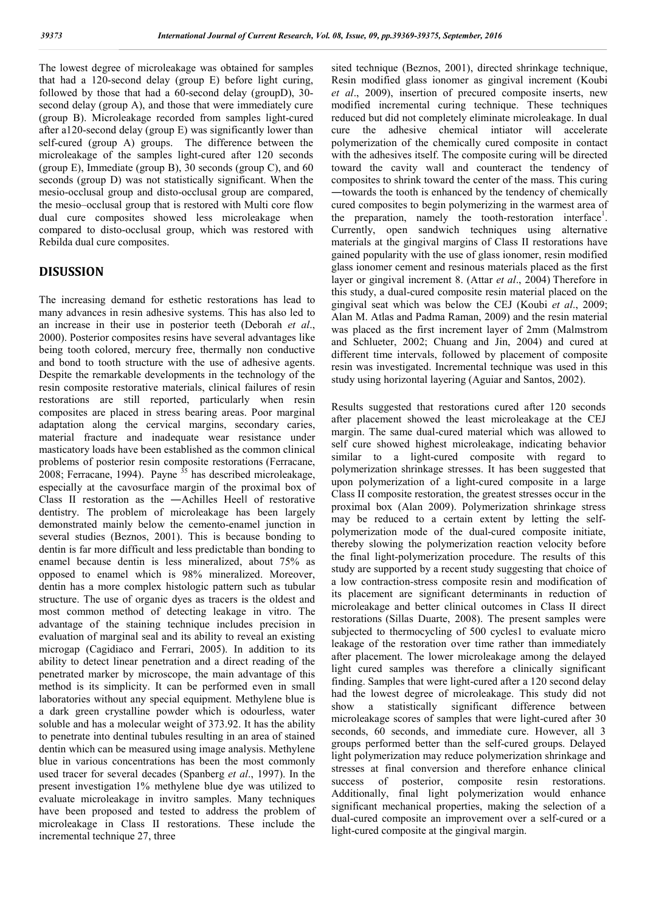The lowest degree of microleakage was obtained for samples that had a 120-second delay (group E) before light curing, followed by those that had a 60-second delay (groupD), 30 second delay (group A), and those that were immediately cure (group B). Microleakage recorded from samples light-cured after a120-second delay (group E) was significantly lower than self-cured (group A) groups. The difference between the microleakage of the samples light-cured after 120 seconds (group E), Immediate (group B), 30 seconds (group C), and 60 seconds (group D) was not statistically significant. When the mesio-occlusal group and disto-occlusal group are compared, the mesio–occlusal group that is restored with Multi core flow dual cure composites showed less microleakage when compared to disto-occlusal group, which was restored with Rebilda dual cure composites.

## DISUSSION

The increasing demand for esthetic restorations has lead to many advances in resin adhesive systems. This has also led to an increase in their use in posterior teeth (Deborah *et al*., 2000). Posterior composites resins have several advantages like being tooth colored, mercury free, thermally non conductive and bond to tooth structure with the use of adhesive agents. Despite the remarkable developments in the technology of the resin composite restorative materials, clinical failures of resin restorations are still reported, particularly when resin composites are placed in stress bearing areas. Poor marginal adaptation along the cervical margins, secondary caries, material fracture and inadequate wear resistance under masticatory loads have been established as the common clinical problems of posterior resin composite restorations (Ferracane, 2008; Ferracane, 1994). Payne <sup>35</sup> has described microleakage, especially at the cavosurface margin of the proximal box of Class II restoration as the -Achilles Heell of restorative dentistry. The problem of microleakage has been largely demonstrated mainly below the cemento-enamel junction in several studies (Beznos, 2001). This is because bonding to dentin is far more difficult and less predictable than bonding to enamel because dentin is less mineralized, about 75% as opposed to enamel which is 98% mineralized. Moreover, dentin has a more complex histologic pattern such as tubular structure. The use of organic dyes as tracers is the oldest and most common method of detecting leakage in vitro. The advantage of the staining technique includes precision in evaluation of marginal seal and its ability to reveal an existing microgap (Cagidiaco and Ferrari, 2005). In addition to its ability to detect linear penetration and a direct reading of the penetrated marker by microscope, the main advantage of this method is its simplicity. It can be performed even in small laboratories without any special equipment. Methylene blue is a dark green crystalline powder which is odourless, water soluble and has a molecular weight of 373.92. It has the ability to penetrate into dentinal tubules resulting in an area of stained dentin which can be measured using image analysis. Methylene blue in various concentrations has been the most commonly used tracer for several decades (Spanberg *et al*., 1997). In the present investigation 1% methylene blue dye was utilized to evaluate microleakage in invitro samples. Many techniques have been proposed and tested to address the problem of microleakage in Class II restorations. These include the incremental technique 27, three

sited technique (Beznos, 2001), directed shrinkage technique, Resin modified glass ionomer as gingival increment (Koubi *et al*., 2009), insertion of precured composite inserts, new modified incremental curing technique. These techniques reduced but did not completely eliminate microleakage. In dual cure the adhesive chemical intiator will accelerate polymerization of the chemically cured composite in contact with the adhesives itself. The composite curing will be directed toward the cavity wall and counteract the tendency of composites to shrink toward the center of the mass. This curing ―towards the tooth is enhanced by the tendency of chemically cured composites to begin polymerizing in the warmest area of the preparation, namely the tooth-restoration interface<sup>1</sup>. Currently, open sandwich techniques using alternative materials at the gingival margins of Class II restorations have gained popularity with the use of glass ionomer, resin modified glass ionomer cement and resinous materials placed as the first layer or gingival increment 8. (Attar *et al*., 2004) Therefore in this study, a dual-cured composite resin material placed on the gingival seat which was below the CEJ (Koubi *et al*., 2009; Alan M. Atlas and Padma Raman, 2009) and the resin material was placed as the first increment layer of 2mm (Malmstrom and Schlueter, 2002; Chuang and Jin, 2004) and cured at different time intervals, followed by placement of composite resin was investigated. Incremental technique was used in this study using horizontal layering (Aguiar and Santos, 2002).

Results suggested that restorations cured after 120 seconds after placement showed the least microleakage at the CEJ margin. The same dual-cured material which was allowed to self cure showed highest microleakage, indicating behavior similar to a light-cured composite with regard to polymerization shrinkage stresses. It has been suggested that upon polymerization of a light-cured composite in a large Class II composite restoration, the greatest stresses occur in the proximal box (Alan 2009). Polymerization shrinkage stress may be reduced to a certain extent by letting the selfpolymerization mode of the dual-cured composite initiate, thereby slowing the polymerization reaction velocity before the final light-polymerization procedure. The results of this study are supported by a recent study suggesting that choice of a low contraction-stress composite resin and modification of its placement are significant determinants in reduction of microleakage and better clinical outcomes in Class II direct restorations (Sillas Duarte, 2008). The present samples were subjected to thermocycling of 500 cycles1 to evaluate micro leakage of the restoration over time rather than immediately after placement. The lower microleakage among the delayed light cured samples was therefore a clinically significant finding. Samples that were light-cured after a 120 second delay had the lowest degree of microleakage. This study did not show a statistically significant difference between microleakage scores of samples that were light-cured after 30 seconds, 60 seconds, and immediate cure. However, all 3 groups performed better than the self-cured groups. Delayed light polymerization may reduce polymerization shrinkage and stresses at final conversion and therefore enhance clinical success of posterior, composite resin restorations. Additionally, final light polymerization would enhance significant mechanical properties, making the selection of a dual-cured composite an improvement over a self-cured or a light-cured composite at the gingival margin.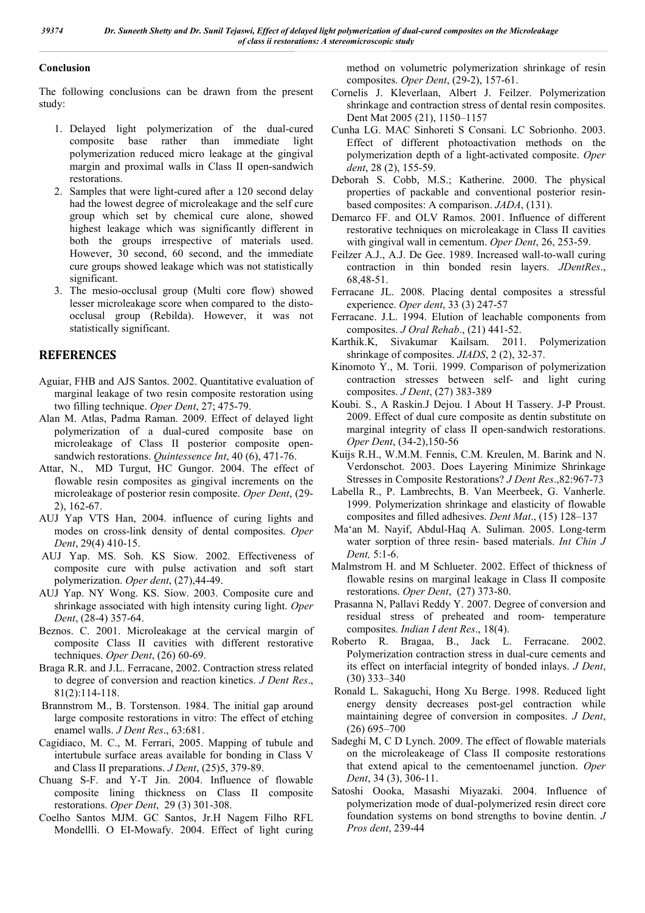### Conclusion

The following conclusions can be drawn from the present study:

- 1. Delayed light polymerization of the dual-cured composite base rather than immediate light polymerization reduced micro leakage at the gingival margin and proximal walls in Class II open-sandwich restorations.
- 2. Samples that were light-cured after a 120 second delay had the lowest degree of microleakage and the self cure group which set by chemical cure alone, showed highest leakage which was significantly different in both the groups irrespective of materials used. However, 30 second, 60 second, and the immediate cure groups showed leakage which was not statistically significant.
- 3. The mesio-occlusal group (Multi core flow) showed lesser microleakage score when compared to the distoocclusal group (Rebilda). However, it was not statistically significant.

### **REFERENCES**

- Aguiar, FHB and AJS Santos. 2002. Quantitative evaluation of marginal leakage of two resin composite restoration using two filling technique. *Oper Dent*, 27; 475-79.
- Alan M. Atlas, Padma Raman. 2009. Effect of delayed light polymerization of a dual-cured composite base on microleakage of Class II posterior composite opensandwich restorations. *Quintessence Int*, 40 (6), 471-76.
- Attar, N., MD Turgut, HC Gungor. 2004. The effect of flowable resin composites as gingival increments on the microleakage of posterior resin composite. *Oper Dent*, (29- 2), 162-67.
- AUJ Yap VTS Han, 2004. influence of curing lights and modes on cross-link density of dental composites. *Oper Dent*, 29(4) 410-15.
- AUJ Yap. MS. Soh. KS Siow. 2002. Effectiveness of composite cure with pulse activation and soft start polymerization. *Oper dent*, (27),44-49.
- AUJ Yap. NY Wong. KS. Siow. 2003. Composite cure and shrinkage associated with high intensity curing light. *Oper Dent*, (28-4) 357-64.
- Beznos. C. 2001. Microleakage at the cervical margin of composite Class II cavities with different restorative techniques. *Oper Dent*, (26) 60-69.
- Braga R.R. and J.L. Ferracane, 2002. Contraction stress related to degree of conversion and reaction kinetics. *J Dent Res*., 81(2):114-118.
- Brannstrom M., B. Torstenson. 1984. The initial gap around large composite restorations in vitro: The effect of etching enamel walls. *J Dent Res*., 63:681.
- Cagidiaco, M. C., M. Ferrari, 2005. Mapping of tubule and intertubule surface areas available for bonding in Class V and Class II preparations. *J Dent*, (25)5, 379-89.
- Chuang S-F. and Y-T Jin. 2004. Influence of flowable composite lining thickness on Class II composite restorations. *Oper Dent*, 29 (3) 301-308.
- Coelho Santos MJM. GC Santos, Jr.H Nagem Filho RFL Mondellli. O EI-Mowafy. 2004. Effect of light curing

method on volumetric polymerization shrinkage of resin composites. *Oper Dent*, (29-2), 157-61.

- Cornelis J. Kleverlaan, Albert J. Feilzer. Polymerization shrinkage and contraction stress of dental resin composites. Dent Mat 2005 (21), 1150–1157
- Cunha LG. MAC Sinhoreti S Consani. LC Sobrionho. 2003. Effect of different photoactivation methods on the polymerization depth of a light-activated composite. *Oper dent*, 28 (2), 155-59.
- Deborah S. Cobb, M.S.; Katherine. 2000. The physical properties of packable and conventional posterior resinbased composites: A comparison. *JADA*, (131).
- Demarco FF. and OLV Ramos. 2001. Influence of different restorative techniques on microleakage in Class II cavities with gingival wall in cementum. *Oper Dent*, 26, 253-59.
- Feilzer A.J., A.J. De Gee. 1989. Increased wall-to-wall curing contraction in thin bonded resin layers. *JDentRes*., 68,48-51.
- Ferracane JL. 2008. Placing dental composites a stressful experience. *Oper dent*, 33 (3) 247-57
- Ferracane. J.L. 1994. Elution of leachable components from composites. *J Oral Rehab*., (21) 441-52.
- Karthik.K, Sivakumar Kailsam. 2011. Polymerization shrinkage of composites. *JIADS*, 2 (2), 32-37.
- Kinomoto Y., M. Torii. 1999. Comparison of polymerization contraction stresses between self- and light curing composites. *J Dent*, (27) 383-389
- Koubi. S., A Raskin.J Dejou. I About H Tassery. J-P Proust. 2009. Effect of dual cure composite as dentin substitute on marginal integrity of class II open-sandwich restorations. *Oper Dent*, (34-2),150-56
- Kuijs R.H., W.M.M. Fennis, C.M. Kreulen, M. Barink and N. Verdonschot. 2003. Does Layering Minimize Shrinkage Stresses in Composite Restorations? *J Dent Res*.,82:967-73
- Labella R., P. Lambrechts, B. Van Meerbeek, G. Vanherle. 1999. Polymerization shrinkage and elasticity of flowable composites and filled adhesives. *Dent Mat*., (15) 128–137
- Ma'an M. Nayif, Abdul-Haq A. Suliman. 2005. Long-term water sorption of three resin- based materials. *Int Chin J Dent,* 5:1-6.
- Malmstrom H. and M Schlueter. 2002. Effect of thickness of flowable resins on marginal leakage in Class II composite restorations. *Oper Dent*, (27) 373-80.
- Prasanna N, Pallavi Reddy Y. 2007. Degree of conversion and residual stress of preheated and room- temperature composites. *Indian I dent Res*., 18(4).
- Roberto R. Bragaa, B., Jack L. Ferracane. 2002. Polymerization contraction stress in dual-cure cements and its effect on interfacial integrity of bonded inlays. *J Dent*, (30) 333–340
- Ronald L. Sakaguchi, Hong Xu Berge. 1998. Reduced light energy density decreases post-gel contraction while maintaining degree of conversion in composites. *J Dent*, (26) 695–700
- Sadeghi M, C D Lynch. 2009. The effect of flowable materials on the microleakeage of Class II composite restorations that extend apical to the cementoenamel junction. *Oper Dent*, 34 (3), 306-11.
- Satoshi Oooka, Masashi Miyazaki. 2004. Influence of polymerization mode of dual-polymerized resin direct core foundation systems on bond strengths to bovine dentin. *J Pros dent*, 239-44